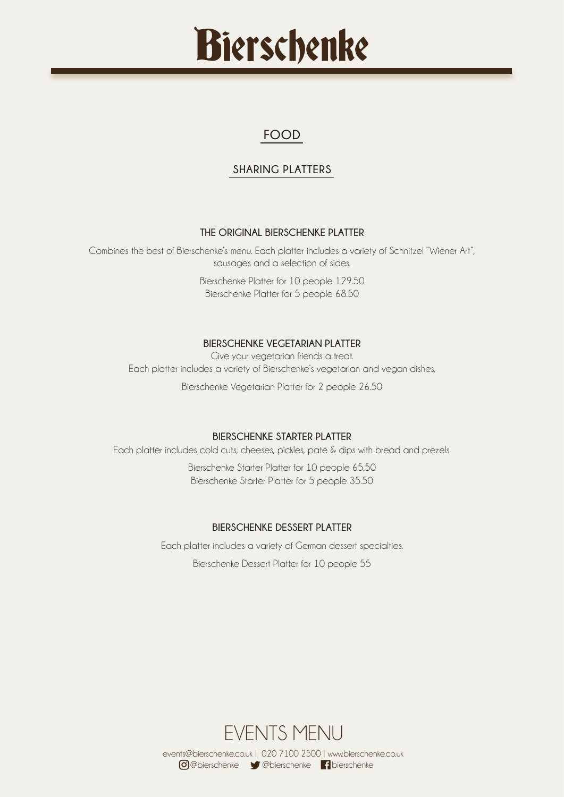## **FOOD**

## **SHARING PLATTERS**

## **THE ORIGINAL BIERSCHENKE PLATTER**

Combines the best of Bierschenke's menu. Each platter includes a variety of Schnitzel "Wiener Art", sausages and a selection of sides.

> Bierschenke Platter for 10 people 129.50 Bierschenke Platter for 5 people 68.50

## **BIERSCHENKE VEGETARIAN PLATTER**

Give your vegetarian friends a treat. Each platter includes a variety of Bierschenke's vegetarian and vegan dishes.

Bierschenke Vegetarian Platter for 2 people 26.50

## **BIERSCHENKE STARTER PLATTER**

Each platter includes cold cuts, cheeses, pickles, paté & dips with bread and prezels.

Bierschenke Starter Platter for 10 people 65.50 Bierschenke Starter Platter for 5 people 35.50

## **BIERSCHENKE DESSERT PLATTER**

Each platter includes a variety of German dessert specialties. Bierschenke Dessert Platter for 10 people 55

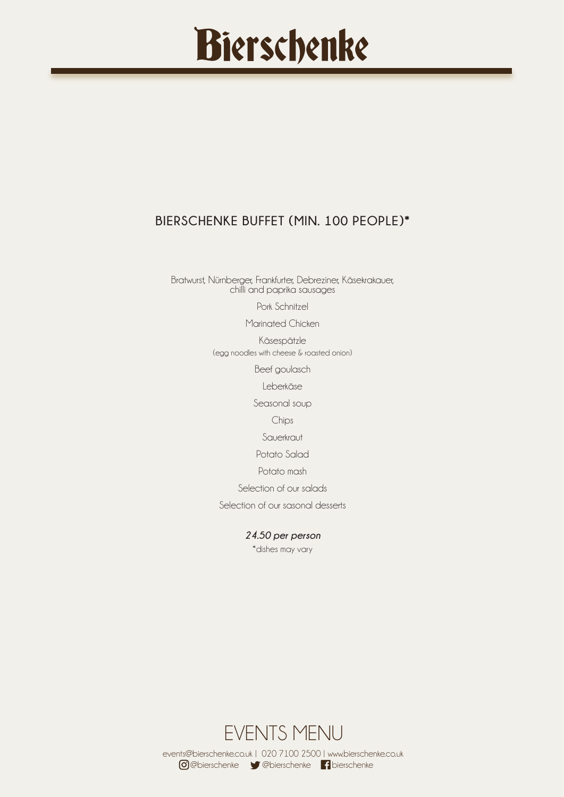## **BIERSCHENKE BUFFET (MIN. 100 PEOPLE)\***

Bratwurst, Nürnberger, Frankfurter, Debreziner, Käsekrakauer, chilli and paprika sausages

Pork Schnitzel

Marinated Chicken

Käsespätzle (egg noodles with cheese & roasted onion)

Beef goulasch

Leberkäse

Seasonal soup

Chips

Sauerkraut

Potato Salad

Potato mash

Selection of our salads

Selection of our sasonal desserts

*24.50 per person*

\*dishes may vary

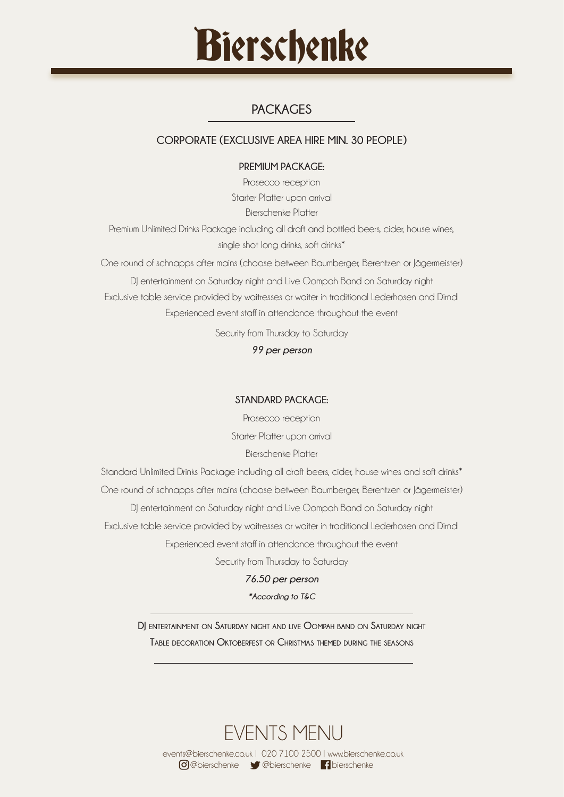

## **PACKAGES**

## **CORPORATE (EXCLUSIVE AREA HIRE MIN. 30 PEOPLE)**

#### **PREMIUM PACKAGE:**

Prosecco reception Starter Platter upon arrival Bierschenke Platter Premium Unlimited Drinks Package including all draft and bottled beers, cider, house wines, single shot long drinks, soft drinks\* One round of schnapps after mains (choose between Baumberger, Berentzen or Jägermeister)

DJ entertainment on Saturday night and Live Oompah Band on Saturday night Exclusive table service provided by waitresses or waiter in traditional Lederhosen and Dirndl Experienced event staff in attendance throughout the event

Security from Thursday to Saturday

*99 per person*

#### **STANDARD PACKAGE:**

Prosecco reception Starter Platter upon arrival Bierschenke Platter

Standard Unlimited Drinks Package including all draft beers, cider, house wines and soft drinks\* One round of schnapps after mains (choose between Baumberger, Berentzen or Jägermeister) DJ entertainment on Saturday night and Live Oompah Band on Saturday night Exclusive table service provided by waitresses or waiter in traditional Lederhosen and Dirndl Experienced event staff in attendance throughout the event

Security from Thursday to Saturday

#### *76.50 per person*

#### *\*According to T&C*

**DJ entertainment on Saturday night and live Oompah band on Saturday night Table decoration Oktoberfest or Christmas themed during the seasons**

EVENTS MENU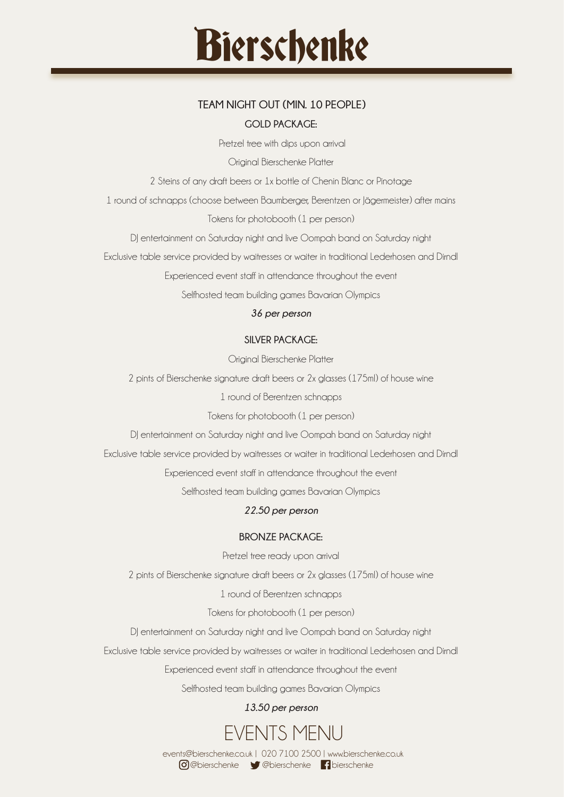## **TEAM NIGHT OUT (MIN. 10 PEOPLE) GOLD PACKAGE:**

Pretzel tree with dips upon arrival

Original Bierschenke Platter

2 Steins of any draft beers or 1x bottle of Chenin Blanc or Pinotage

1 round of schnapps (choose between Baumberger, Berentzen or Jägermeister) after mains

Tokens for photobooth (1 per person)

DJ entertainment on Saturday night and live Oompah band on Saturday night

Exclusive table service provided by waitresses or waiter in traditional Lederhosen and Dirndl

Experienced event staff in attendance throughout the event

Selfhosted team building games Bavarian Olympics

## *36 per person*

## **SILVER PACKAGE:**

Original Bierschenke Platter

2 pints of Bierschenke signature draft beers or 2x glasses (175ml) of house wine

1 round of Berentzen schnapps

Tokens for photobooth (1 per person)

DJ entertainment on Saturday night and live Oompah band on Saturday night

Exclusive table service provided by waitresses or waiter in traditional Lederhosen and Dirndl

Experienced event staff in attendance throughout the event

Selfhosted team building games Bavarian Olympics

## *22.50 per person*

## **BRONZE PACKAGE:**

Pretzel tree ready upon arrival

2 pints of Bierschenke signature draft beers or 2x glasses (175ml) of house wine

1 round of Berentzen schnapps

Tokens for photobooth (1 per person)

DJ entertainment on Saturday night and live Oompah band on Saturday night

Exclusive table service provided by waitresses or waiter in traditional Lederhosen and Dirndl

Experienced event staff in attendance throughout the event

Selfhosted team building games Bavarian Olympics

## *13.50 per person*

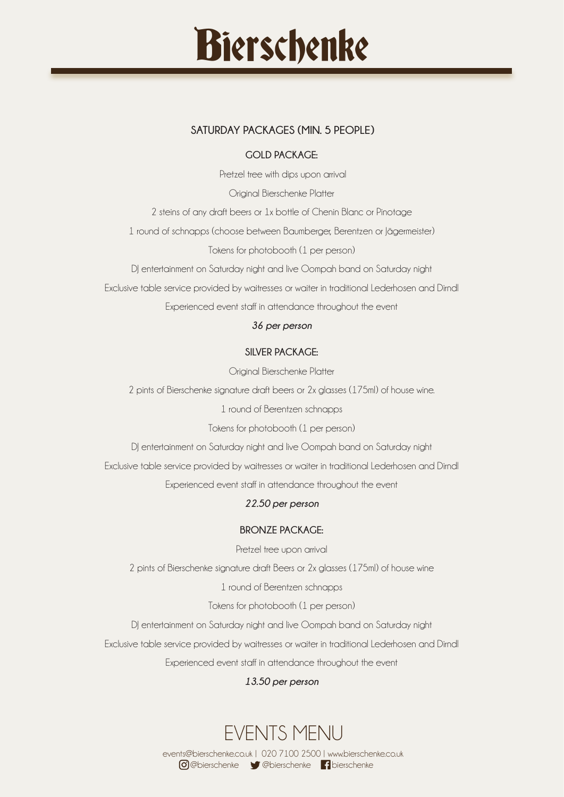## **SATURDAY PACKAGES (MIN. 5 PEOPLE)**

#### **GOLD PACKAGE:**

Pretzel tree with dips upon arrival

Original Bierschenke Platter

2 steins of any draft beers or 1x bottle of Chenin Blanc or Pinotage

1 round of schnapps (choose between Baumberger, Berentzen or Jägermeister)

Tokens for photobooth (1 per person)

DJ entertainment on Saturday night and live Oompah band on Saturday night

Exclusive table service provided by waitresses or waiter in traditional Lederhosen and Dirndl

Experienced event staff in attendance throughout the event

#### *36 per person*

#### **SILVER PACKAGE:**

Original Bierschenke Platter

2 pints of Bierschenke signature draft beers or 2x glasses (175ml) of house wine.

1 round of Berentzen schnapps

Tokens for photobooth (1 per person)

DJ entertainment on Saturday night and live Oompah band on Saturday night

Exclusive table service provided by waitresses or waiter in traditional Lederhosen and Dirndl

Experienced event staff in attendance throughout the event

## *22.50 per person*

#### **BRONZE PACKAGE:**

Pretzel tree upon arrival

2 pints of Bierschenke signature draft Beers or 2x glasses (175ml) of house wine

1 round of Berentzen schnapps

Tokens for photobooth (1 per person)

DJ entertainment on Saturday night and live Oompah band on Saturday night

Exclusive table service provided by waitresses or waiter in traditional Lederhosen and Dirndl

Experienced event staff in attendance throughout the event

## *13.50 per person*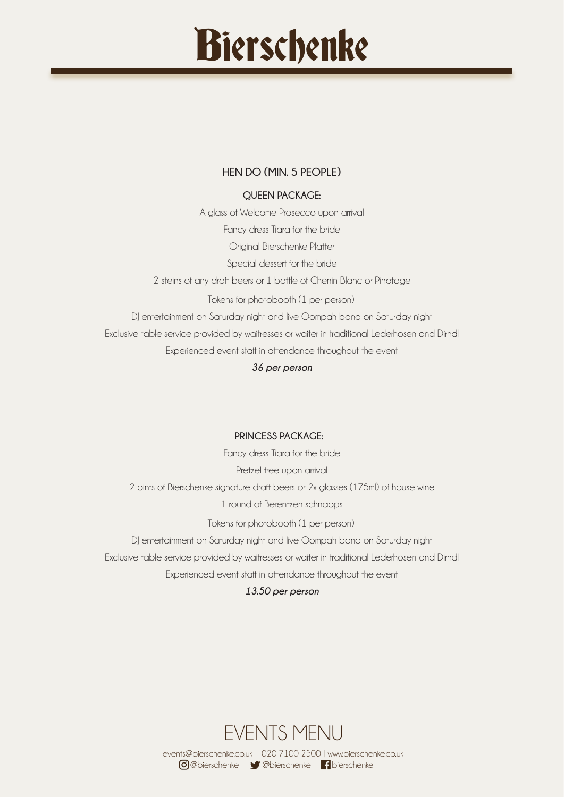## **HEN DO (MIN. 5 PEOPLE)**

## **QUEEN PACKAGE:**

A glass of Welcome Prosecco upon arrival Fancy dress Tiara for the bride Original Bierschenke Platter Special dessert for the bride 2 steins of any draft beers or 1 bottle of Chenin Blanc or Pinotage Tokens for photobooth (1 per person) DJ entertainment on Saturday night and live Oompah band on Saturday night Exclusive table service provided by waitresses or waiter in traditional Lederhosen and Dirndl Experienced event staff in attendance throughout the event

*36 per person*

## **PRINCESS PACKAGE:**

Fancy dress Tiara for the bride Pretzel tree upon arrival 2 pints of Bierschenke signature draft beers or 2x glasses (175ml) of house wine 1 round of Berentzen schnapps Tokens for photobooth (1 per person)

DJ entertainment on Saturday night and live Oompah band on Saturday night

Exclusive table service provided by waitresses or waiter in traditional Lederhosen and Dirndl

Experienced event staff in attendance throughout the event

*13.50 per person*